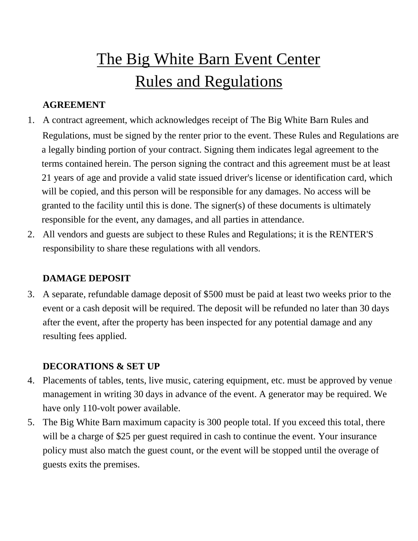# The Big White Barn Event Center Rules and Regulations

#### **AGREEMENT**

- 1. A contract agreement, which acknowledges receipt of The Big White Barn Rules and Regulations, must be signed by the renter prior to the event. These Rules and Regulations are a legally binding portion of your contract. Signing them indicates legal agreement to the terms contained herein. The person signing the contract and this agreement must be at least 21 years of age and provide a valid state issued driver's license or identification card, which will be copied, and this person will be responsible for any damages. No access will be granted to the facility until this is done. The signer(s) of these documents is ultimately responsible for the event, any damages, and all parties in attendance.
- 2. All vendors and guests are subject to these Rules and Regulations; it is the RENTER'S responsibility to share these regulations with all vendors.

#### **DAMAGE DEPOSIT**

3. A separate, refundable damage deposit of \$500 must be paid at least two weeks prior to the event or a cash deposit will be required. The deposit will be refunded no later than 30 days after the event, after the property has been inspected for any potential damage and any resulting fees applied.

#### **DECORATIONS & SET UP**

- 4. Placements of tables, tents, live music, catering equipment, etc. must be approved by venue management in writing 30 days in advance of the event. A generator may be required. We have only 110-volt power available.
- 5. The Big White Barn maximum capacity is 300 people total. If you exceed this total, there will be a charge of \$25 per guest required in cash to continue the event. Your insurance policy must also match the guest count, or the event will be stopped until the overage of guests exits the premises.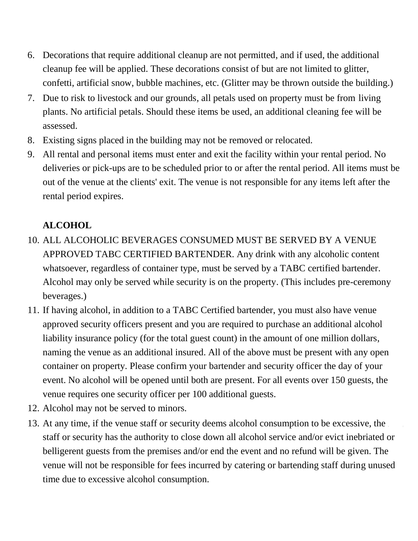- 6. Decorations that require additional cleanup are not permitted, and if used, the additional cleanup fee will be applied. These decorations consist of but are not limited to glitter, confetti, artificial snow, bubble machines, etc. (Glitter may be thrown outside the building.)
- 7. Due to risk to livestock and our grounds, all petals used on property must be from living plants. No artificial petals. Should these items be used, an additional cleaning fee will be assessed.
- 8. Existing signs placed in the building may not be removed or relocated.
- 9. All rental and personal items must enter and exit the facility within your rental period. No deliveries or pick-ups are to be scheduled prior to or after the rental period. All items must be out of the venue at the clients' exit. The venue is not responsible for any items left after the rental period expires.

## **ALCOHOL**

- 10. ALL ALCOHOLIC BEVERAGES CONSUMED MUST BE SERVED BY A VENUE APPROVED TABC CERTIFIED BARTENDER. Any drink with any alcoholic content whatsoever, regardless of container type, must be served by a TABC certified bartender. Alcohol may only be served while security is on the property. (This includes pre-ceremony beverages.)
- 11. If having alcohol, in addition to a TABC Certified bartender, you must also have venue approved security officers present and you are required to purchase an additional alcohol liability insurance policy (for the total guest count) in the amount of one million dollars, naming the venue as an additional insured. All of the above must be present with any open container on property. Please confirm your bartender and security officer the day of your event. No alcohol will be opened until both are present. For all events over 150 guests, the venue requires one security officer per 100 additional guests.
- 12. Alcohol may not be served to minors.
- 13. At any time, if the venue staff or security deems alcohol consumption to be excessive, the staff or security has the authority to close down all alcohol service and/or evict inebriated or belligerent guests from the premises and/or end the event and no refund will be given. The venue will not be responsible for fees incurred by catering or bartending staff during unused time due to excessive alcohol consumption.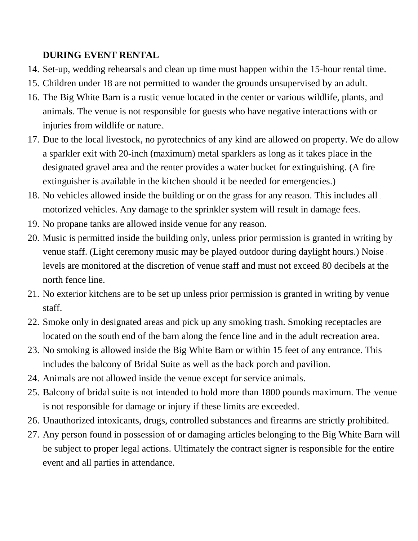#### **DURING EVENT RENTAL**

- 14. Set-up, wedding rehearsals and clean up time must happen within the 15-hour rental time.
- 15. Children under 18 are not permitted to wander the grounds unsupervised by an adult.
- 16. The Big White Barn is a rustic venue located in the center or various wildlife, plants, and animals. The venue is not responsible for guests who have negative interactions with or injuries from wildlife or nature.
- 17. Due to the local livestock, no pyrotechnics of any kind are allowed on property. We do allow a sparkler exit with 20-inch (maximum) metal sparklers as long as it takes place in the designated gravel area and the renter provides a water bucket for extinguishing. (A fire extinguisher is available in the kitchen should it be needed for emergencies.)
- 18. No vehicles allowed inside the building or on the grass for any reason. This includes all motorized vehicles. Any damage to the sprinkler system will result in damage fees.
- 19. No propane tanks are allowed inside venue for any reason.
- 20. Music is permitted inside the building only, unless prior permission is granted in writing by venue staff. (Light ceremony music may be played outdoor during daylight hours.) Noise levels are monitored at the discretion of venue staff and must not exceed 80 decibels at the north fence line.
- 21. No exterior kitchens are to be set up unless prior permission is granted in writing by venue staff.
- 22. Smoke only in designated areas and pick up any smoking trash. Smoking receptacles are located on the south end of the barn along the fence line and in the adult recreation area.
- 23. No smoking is allowed inside the Big White Barn or within 15 feet of any entrance. This includes the balcony of Bridal Suite as well as the back porch and pavilion.
- 24. Animals are not allowed inside the venue except for service animals.
- 25. Balcony of bridal suite is not intended to hold more than 1800 pounds maximum. The venue is not responsible for damage or injury if these limits are exceeded.
- 26. Unauthorized intoxicants, drugs, controlled substances and firearms are strictly prohibited.
- 27. Any person found in possession of or damaging articles belonging to the Big White Barn will be subject to proper legal actions. Ultimately the contract signer is responsible for the entire event and all parties in attendance.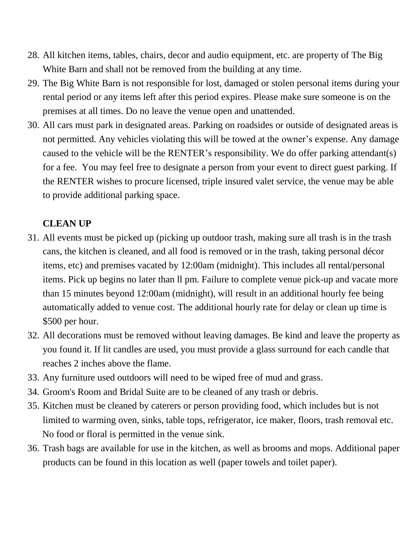- 28. All kitchen items, tables, chairs, decor and audio equipment, etc. are property of The Big White Barn and shall not be removed from the building at any time.
- 29. The Big White Barn is not responsible for lost, damaged or stolen personal items during your rental period or any items left after this period expires. Please make sure someone is on the premises at all times. Do no leave the venue open and unattended.
- 30. All cars must park in designated areas. Parking on roadsides or outside of designated areas is not permitted. Any vehicles violating this will be towed at the owner's expense. Any damage caused to the vehicle will be the RENTER's responsibility. We do offer parking attendant(s) for a fee. You may feel free to designate a person from your event to direct guest parking. If the RENTER wishes to procure licensed, triple insured valet service, the venue may be able to provide additional parking space.

### **CLEAN UP**

- 31. All events must be picked up (picking up outdoor trash, making sure all trash is in the trash cans, the kitchen is cleaned, and all food is removed or in the trash, taking personal décor items, etc) and premises vacated by 12:00am (midnight). This includes all rental/personal items. Pick up begins no later than ll pm. Failure to complete venue pick-up and vacate more than 15 minutes beyond 12:00am (midnight), will result in an additional hourly fee being automatically added to venue cost. The additional hourly rate for delay or clean up time is \$500 per hour.
- 32. All decorations must be removed without leaving damages. Be kind and leave the property as you found it. If lit candles are used, you must provide a glass surround for each candle that reaches 2 inches above the flame.
- 33. Any furniture used outdoors will need to be wiped free of mud and grass.
- 34. Groom's Room and Bridal Suite are to be cleaned of any trash or debris.
- 35. Kitchen must be cleaned by caterers or person providing food, which includes but is not limited to warming oven, sinks, table tops, refrigerator, ice maker, floors, trash removal etc. No food or floral is permitted in the venue sink.
- 36. Trash bags are available for use in the kitchen, as well as brooms and mops. Additional paper products can be found in this location as well (paper towels and toilet paper).